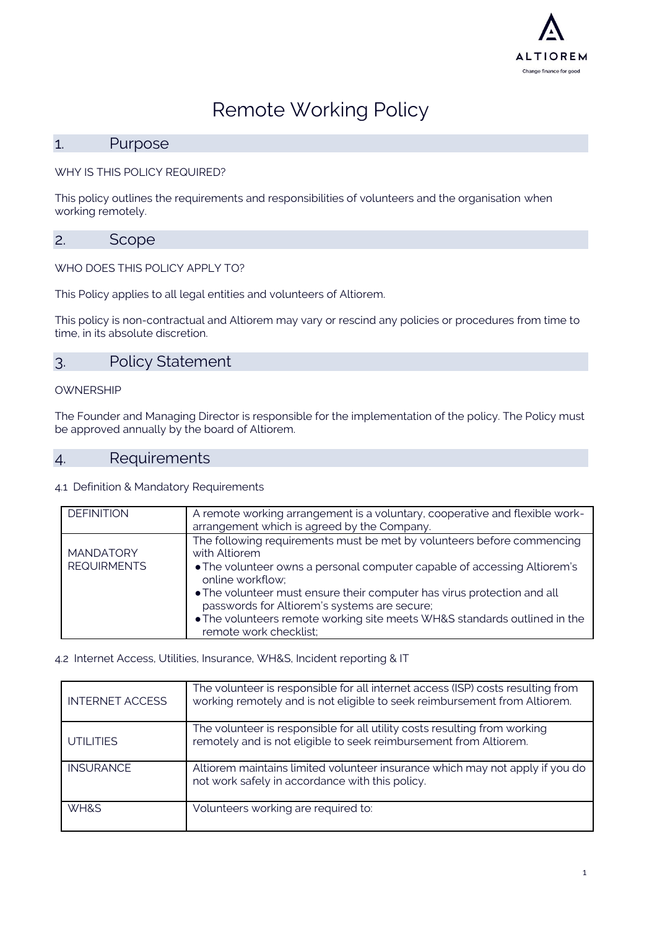

# Remote Working Policy

### 1. Purpose

WHY IS THIS POLICY REQUIRED?

This policy outlines the requirements and responsibilities of volunteers and the organisation when working remotely.

### 2. Scope

WHO DOES THIS POLICY APPLY TO?

This Policy applies to all legal entities and volunteers of Altiorem.

This policy is non-contractual and Altiorem may vary or rescind any policies or procedures from time to time, in its absolute discretion.

## 3. Policy Statement

#### OWNERSHIP

The Founder and Managing Director is responsible for the implementation of the policy. The Policy must be approved annually by the board of Altiorem.

### 4. Requirements

#### 4.1 Definition & Mandatory Requirements

| <b>DEFINITION</b>                      | A remote working arrangement is a voluntary, cooperative and flexible work-<br>arrangement which is agreed by the Company.                                                                                                                                                                                                                                                                                                |
|----------------------------------------|---------------------------------------------------------------------------------------------------------------------------------------------------------------------------------------------------------------------------------------------------------------------------------------------------------------------------------------------------------------------------------------------------------------------------|
| <b>MANDATORY</b><br><b>REQUIRMENTS</b> | The following requirements must be met by volunteers before commencing<br>with Altiorem<br>• The volunteer owns a personal computer capable of accessing Altiorem's<br>online workflow;<br>• The volunteer must ensure their computer has virus protection and all<br>passwords for Altiorem's systems are secure;<br>• The volunteers remote working site meets WH&S standards outlined in the<br>remote work checklist; |

#### 4.2 Internet Access, Utilities, Insurance, WH&S, Incident reporting & IT

| <b>INTERNET ACCESS</b> | The volunteer is responsible for all internet access (ISP) costs resulting from<br>working remotely and is not eligible to seek reimbursement from Altiorem. |
|------------------------|--------------------------------------------------------------------------------------------------------------------------------------------------------------|
| <b>UTILITIES</b>       | The volunteer is responsible for all utility costs resulting from working<br>remotely and is not eligible to seek reimbursement from Altiorem.               |
| <b>INSURANCE</b>       | Altiorem maintains limited volunteer insurance which may not apply if you do<br>not work safely in accordance with this policy.                              |
| WH&S                   | Volunteers working are required to:                                                                                                                          |